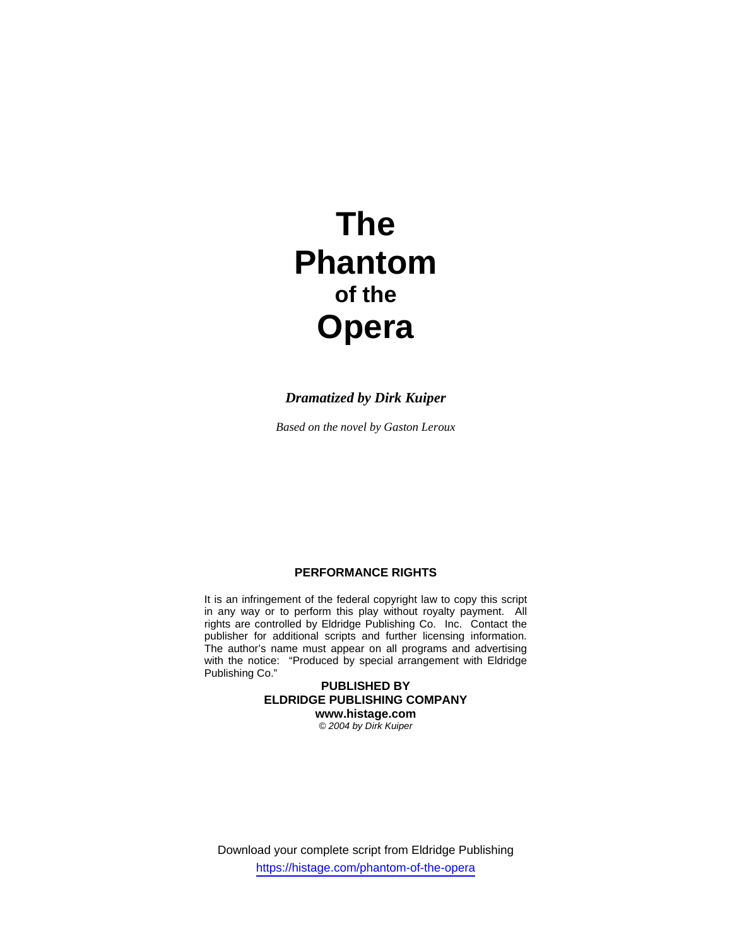# **The Phantom of the Opera**

# *Dramatized by Dirk Kuiper*

*Based on the novel by Gaston Leroux* 

# **PERFORMANCE RIGHTS**

It is an infringement of the federal copyright law to copy this script in any way or to perform this play without royalty payment. All rights are controlled by Eldridge Publishing Co. Inc. Contact the publisher for additional scripts and further licensing information. The author's name must appear on all programs and advertising with the notice: "Produced by special arrangement with Eldridge Publishing Co."

> **PUBLISHED BY ELDRIDGE PUBLISHING COMPANY www.histage.com**  *© 2004 by Dirk Kuiper*

Download your complete script from Eldridge Publishing https://histage.com/phantom-of-the-opera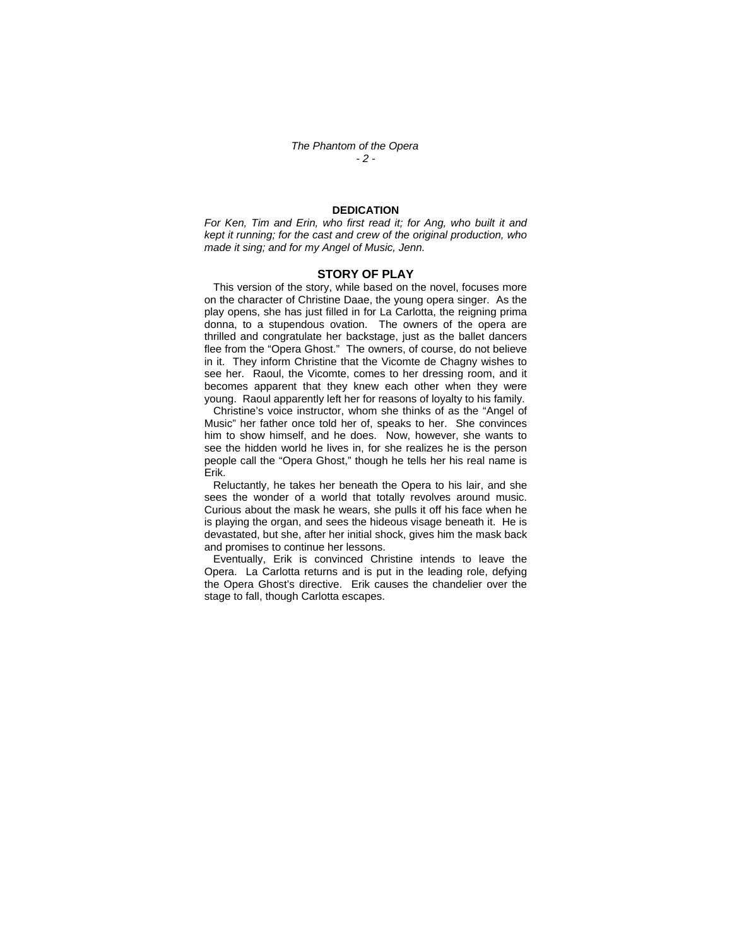## **DEDICATION**

*For Ken, Tim and Erin, who first read it; for Ang, who built it and kept it running; for the cast and crew of the original production, who made it sing; and for my Angel of Music, Jenn.* 

## **STORY OF PLAY**

This version of the story, while based on the novel, focuses more on the character of Christine Daae, the young opera singer. As the play opens, she has just filled in for La Carlotta, the reigning prima donna, to a stupendous ovation. The owners of the opera are thrilled and congratulate her backstage, just as the ballet dancers flee from the "Opera Ghost." The owners, of course, do not believe in it. They inform Christine that the Vicomte de Chagny wishes to see her. Raoul, the Vicomte, comes to her dressing room, and it becomes apparent that they knew each other when they were young. Raoul apparently left her for reasons of loyalty to his family.

 Christine's voice instructor, whom she thinks of as the "Angel of Music" her father once told her of, speaks to her. She convinces him to show himself, and he does. Now, however, she wants to see the hidden world he lives in, for she realizes he is the person people call the "Opera Ghost," though he tells her his real name is Erik.

 Reluctantly, he takes her beneath the Opera to his lair, and she sees the wonder of a world that totally revolves around music. Curious about the mask he wears, she pulls it off his face when he is playing the organ, and sees the hideous visage beneath it. He is devastated, but she, after her initial shock, gives him the mask back and promises to continue her lessons.

 Eventually, Erik is convinced Christine intends to leave the Opera. La Carlotta returns and is put in the leading role, defying the Opera Ghost's directive. Erik causes the chandelier over the stage to fall, though Carlotta escapes.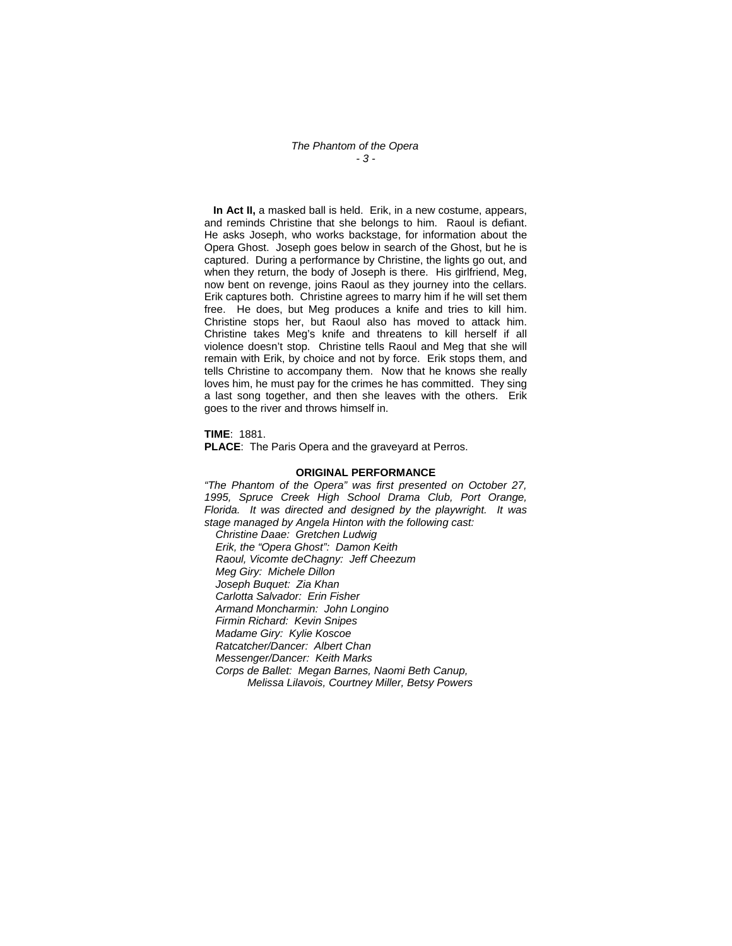*The Phantom of the Opera - 3 -* 

 **In Act II,** a masked ball is held. Erik, in a new costume, appears, and reminds Christine that she belongs to him. Raoul is defiant. He asks Joseph, who works backstage, for information about the Opera Ghost. Joseph goes below in search of the Ghost, but he is captured. During a performance by Christine, the lights go out, and when they return, the body of Joseph is there. His girlfriend, Meg, now bent on revenge, joins Raoul as they journey into the cellars. Erik captures both. Christine agrees to marry him if he will set them free. He does, but Meg produces a knife and tries to kill him. Christine stops her, but Raoul also has moved to attack him. Christine takes Meg's knife and threatens to kill herself if all violence doesn't stop. Christine tells Raoul and Meg that she will remain with Erik, by choice and not by force. Erik stops them, and tells Christine to accompany them. Now that he knows she really loves him, he must pay for the crimes he has committed. They sing a last song together, and then she leaves with the others. Erik goes to the river and throws himself in.

**TIME**: 1881.

**PLACE**: The Paris Opera and the graveyard at Perros.

#### **ORIGINAL PERFORMANCE**

*"The Phantom of the Opera" was first presented on October 27, 1995, Spruce Creek High School Drama Club, Port Orange, Florida. It was directed and designed by the playwright. It was stage managed by Angela Hinton with the following cast:* 

*Christine Daae: Gretchen Ludwig Erik, the "Opera Ghost": Damon Keith Raoul, Vicomte deChagny: Jeff Cheezum Meg Giry: Michele Dillon Joseph Buquet: Zia Khan Carlotta Salvador: Erin Fisher Armand Moncharmin: John Longino Firmin Richard: Kevin Snipes Madame Giry: Kylie Koscoe Ratcatcher/Dancer: Albert Chan Messenger/Dancer: Keith Marks Corps de Ballet: Megan Barnes, Naomi Beth Canup, Melissa Lilavois, Courtney Miller, Betsy Powers*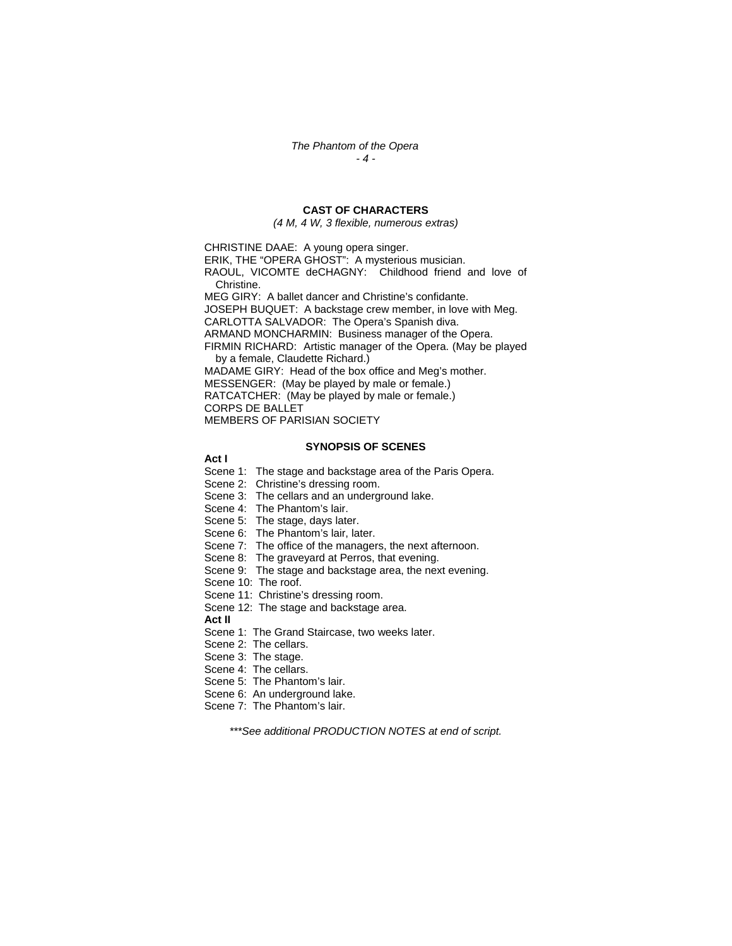## **CAST OF CHARACTERS**

*(4 M, 4 W, 3 flexible, numerous extras)* 

CHRISTINE DAAE: A young opera singer.

ERIK, THE "OPERA GHOST": A mysterious musician.

RAOUL, VICOMTE deCHAGNY: Childhood friend and love of Christine.

MEG GIRY: A ballet dancer and Christine's confidante. JOSEPH BUQUET: A backstage crew member, in love with Meg.

CARLOTTA SALVADOR: The Opera's Spanish diva.

ARMAND MONCHARMIN: Business manager of the Opera. FIRMIN RICHARD: Artistic manager of the Opera. (May be played

by a female, Claudette Richard.)

MADAME GIRY: Head of the box office and Meg's mother.

MESSENGER: (May be played by male or female.) RATCATCHER: (May be played by male or female.)

CORPS DE BALLET

MEMBERS OF PARISIAN SOCIETY

## **SYNOPSIS OF SCENES**

**Act I** 

Scene 1: The stage and backstage area of the Paris Opera.

Scene 2: Christine's dressing room.

Scene 3: The cellars and an underground lake.

Scene 4: The Phantom's lair.

Scene 5: The stage, days later.

Scene 6: The Phantom's lair, later.

Scene 7: The office of the managers, the next afternoon.

Scene 8: The graveyard at Perros, that evening.

Scene 9: The stage and backstage area, the next evening.

Scene 10: The roof.

Scene 11: Christine's dressing room.

Scene 12: The stage and backstage area.

**Act II** 

Scene 1: The Grand Staircase, two weeks later.

Scene 2: The cellars.

Scene 3: The stage.

Scene 4: The cellars.

Scene 5: The Phantom's lair.

Scene 6: An underground lake.

Scene 7: The Phantom's lair.

*\*\*\*See additional PRODUCTION NOTES at end of script.*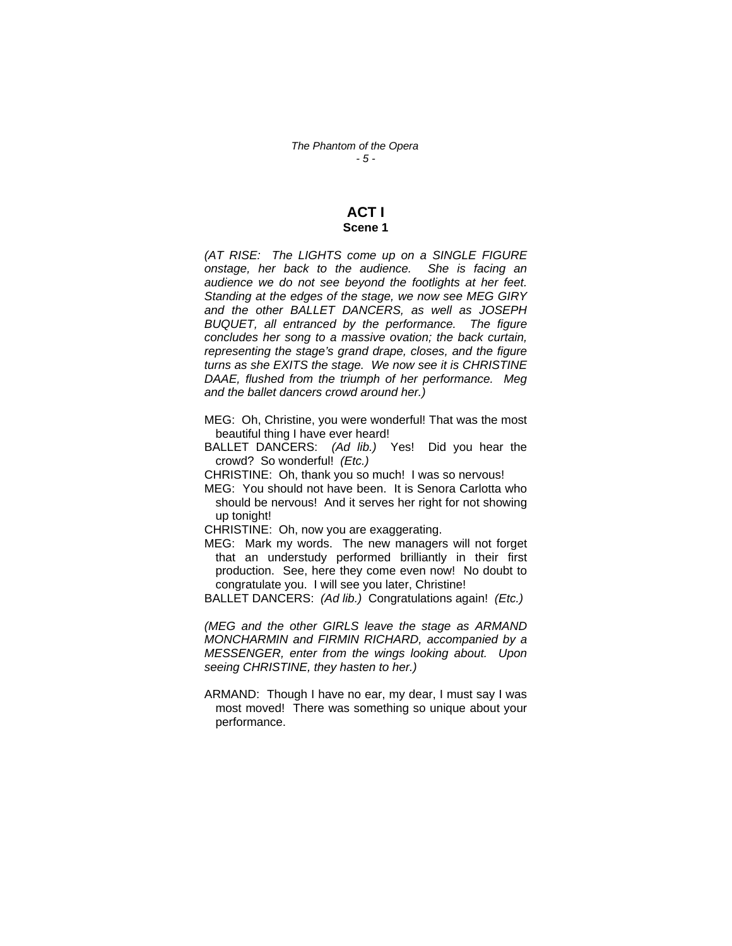## **ACT I Scene 1**

*(AT RISE: The LIGHTS come up on a SINGLE FIGURE onstage, her back to the audience. She is facing an audience we do not see beyond the footlights at her feet. Standing at the edges of the stage, we now see MEG GIRY and the other BALLET DANCERS, as well as JOSEPH BUQUET, all entranced by the performance. The figure concludes her song to a massive ovation; the back curtain, representing the stage's grand drape, closes, and the figure turns as she EXITS the stage. We now see it is CHRISTINE DAAE, flushed from the triumph of her performance. Meg and the ballet dancers crowd around her.)* 

MEG: Oh, Christine, you were wonderful! That was the most beautiful thing I have ever heard!

BALLET DANCERS: *(Ad lib.)* Yes! Did you hear the crowd? So wonderful! *(Etc.)* 

CHRISTINE: Oh, thank you so much! I was so nervous!

MEG: You should not have been. It is Senora Carlotta who should be nervous! And it serves her right for not showing up tonight!

CHRISTINE: Oh, now you are exaggerating.

MEG: Mark my words. The new managers will not forget that an understudy performed brilliantly in their first production. See, here they come even now! No doubt to congratulate you. I will see you later, Christine!

BALLET DANCERS: *(Ad lib.)* Congratulations again! *(Etc.)*

*(MEG and the other GIRLS leave the stage as ARMAND MONCHARMIN and FIRMIN RICHARD, accompanied by a MESSENGER, enter from the wings looking about. Upon seeing CHRISTINE, they hasten to her.)* 

ARMAND: Though I have no ear, my dear, I must say I was most moved! There was something so unique about your performance.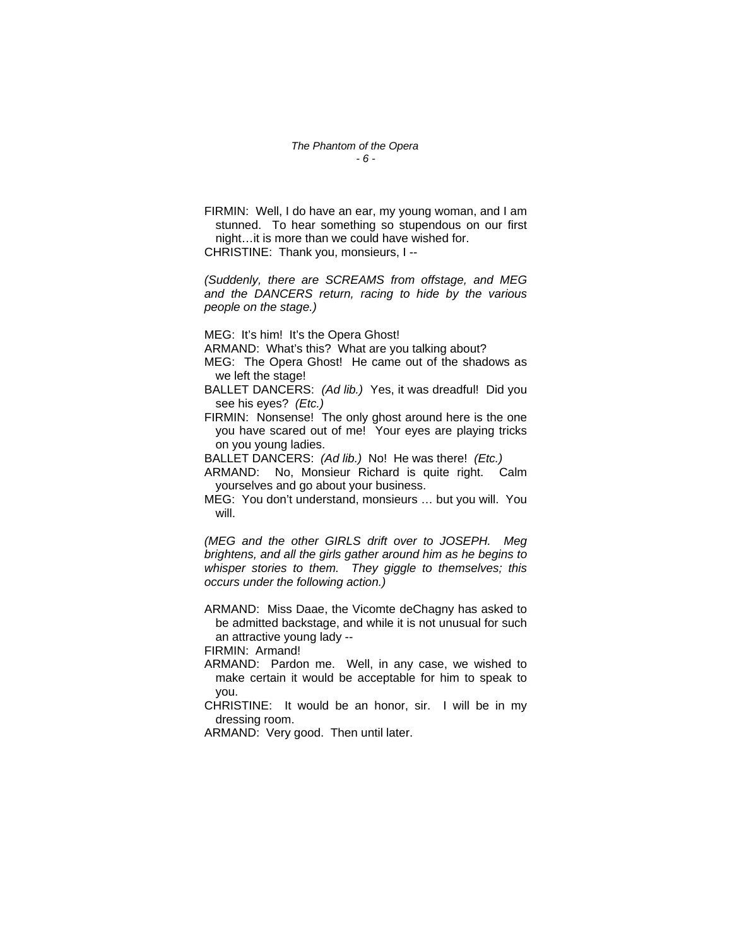FIRMIN: Well, I do have an ear, my young woman, and I am stunned. To hear something so stupendous on our first night…it is more than we could have wished for. CHRISTINE: Thank you, monsieurs, I --

*(Suddenly, there are SCREAMS from offstage, and MEG and the DANCERS return, racing to hide by the various people on the stage.)* 

MEG: It's him! It's the Opera Ghost!

- ARMAND: What's this? What are you talking about?
- MEG: The Opera Ghost! He came out of the shadows as we left the stage!
- BALLET DANCERS: *(Ad lib.)* Yes, it was dreadful! Did you see his eyes? *(Etc.)*
- FIRMIN: Nonsense! The only ghost around here is the one you have scared out of me! Your eyes are playing tricks on you young ladies.

BALLET DANCERS: *(Ad lib.)* No! He was there! *(Etc.)*

- ARMAND: No, Monsieur Richard is quite right. Calm yourselves and go about your business.
- MEG: You don't understand, monsieurs … but you will. You will.

*(MEG and the other GIRLS drift over to JOSEPH. Meg brightens, and all the girls gather around him as he begins to whisper stories to them. They giggle to themselves; this occurs under the following action.)* 

ARMAND: Miss Daae, the Vicomte deChagny has asked to be admitted backstage, and while it is not unusual for such an attractive young lady --

FIRMIN: Armand!

- ARMAND: Pardon me. Well, in any case, we wished to make certain it would be acceptable for him to speak to you.
- CHRISTINE: It would be an honor, sir. I will be in my dressing room.

ARMAND: Very good. Then until later.